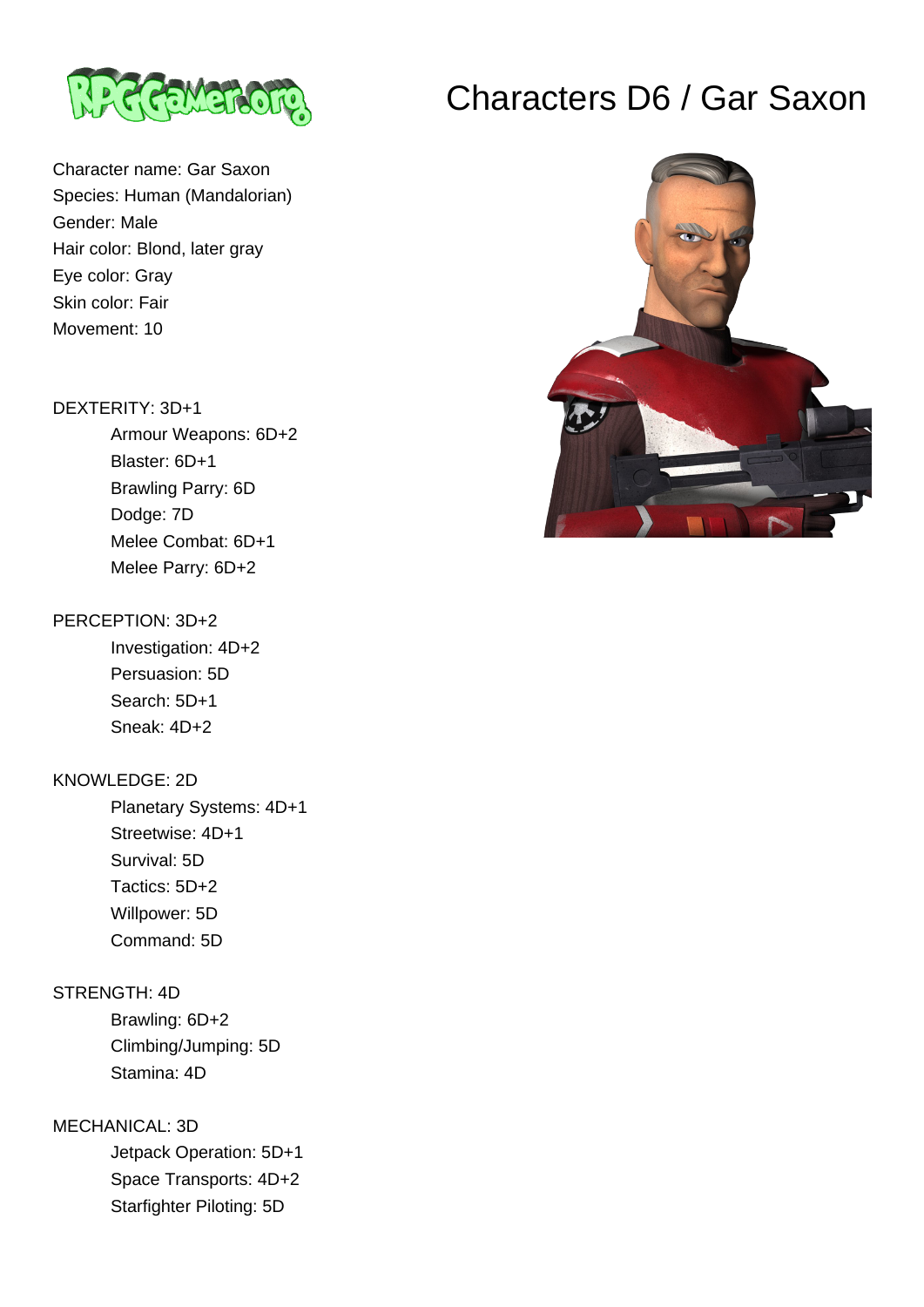

Character name: Gar Saxon Species: Human (Mandalorian) Gender: Male Hair color: Blond, later gray Eye color: Gray Skin color: Fair Movement: 10

## DEXTERITY: 3D+1

 Armour Weapons: 6D+2 Blaster: 6D+1 Brawling Parry: 6D Dodge: 7D Melee Combat: 6D+1 Melee Parry: 6D+2

## PERCEPTION: 3D+2

 Investigation: 4D+2 Persuasion: 5D Search: 5D+1 Sneak: 4D+2

## KNOWLEDGE: 2D

 Planetary Systems: 4D+1 Streetwise: 4D+1 Survival: 5D Tactics: 5D+2 Willpower: 5D Command: 5D

# STRENGTH: 4D

 Brawling: 6D+2 Climbing/Jumping: 5D Stamina: 4D

# MECHANICAL: 3D

 Jetpack Operation: 5D+1 Space Transports: 4D+2 Starfighter Piloting: 5D

# Characters D6 / Gar Saxon

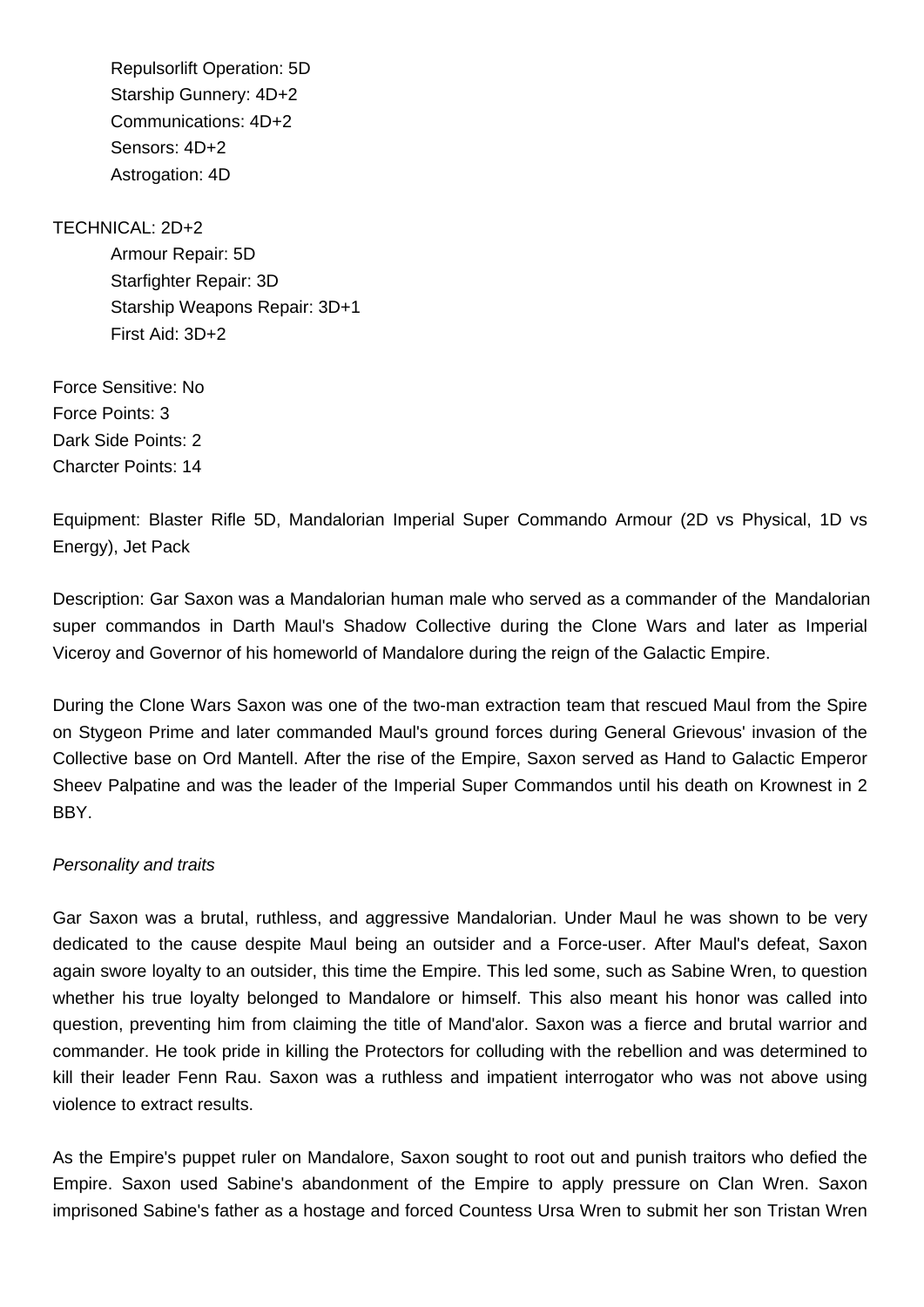Repulsorlift Operation: 5D Starship Gunnery: 4D+2 Communications: 4D+2 Sensors: 4D+2 Astrogation: 4D

### TECHNICAL: 2D+2

 Armour Repair: 5D Starfighter Repair: 3D Starship Weapons Repair: 3D+1 First Aid: 3D+2

Force Sensitive: No Force Points: 3 Dark Side Points: 2 Charcter Points: 14

Equipment: Blaster Rifle 5D, Mandalorian Imperial Super Commando Armour (2D vs Physical, 1D vs Energy), Jet Pack

Description: Gar Saxon was a Mandalorian human male who served as a commander of the Mandalorian super commandos in Darth Maul's Shadow Collective during the Clone Wars and later as Imperial Viceroy and Governor of his homeworld of Mandalore during the reign of the Galactic Empire.

During the Clone Wars Saxon was one of the two-man extraction team that rescued Maul from the Spire on Stygeon Prime and later commanded Maul's ground forces during General Grievous' invasion of the Collective base on Ord Mantell. After the rise of the Empire, Saxon served as Hand to Galactic Emperor Sheev Palpatine and was the leader of the Imperial Super Commandos until his death on Krownest in 2 BBY.

### Personality and traits

Gar Saxon was a brutal, ruthless, and aggressive Mandalorian. Under Maul he was shown to be very dedicated to the cause despite Maul being an outsider and a Force-user. After Maul's defeat, Saxon again swore loyalty to an outsider, this time the Empire. This led some, such as Sabine Wren, to question whether his true loyalty belonged to Mandalore or himself. This also meant his honor was called into question, preventing him from claiming the title of Mand'alor. Saxon was a fierce and brutal warrior and commander. He took pride in killing the Protectors for colluding with the rebellion and was determined to kill their leader Fenn Rau. Saxon was a ruthless and impatient interrogator who was not above using violence to extract results.

As the Empire's puppet ruler on Mandalore, Saxon sought to root out and punish traitors who defied the Empire. Saxon used Sabine's abandonment of the Empire to apply pressure on Clan Wren. Saxon imprisoned Sabine's father as a hostage and forced Countess Ursa Wren to submit her son Tristan Wren